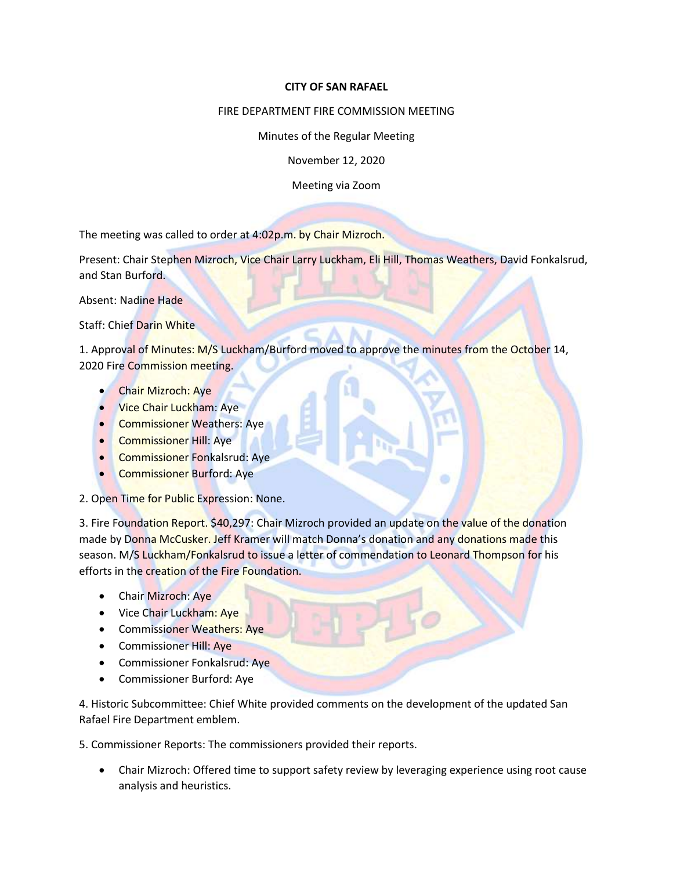## **CITY OF SAN RAFAEL**

## FIRE DEPARTMENT FIRE COMMISSION MEETING

Minutes of the Regular Meeting

November 12, 2020

Meeting via Zoom

The meeting was called to order at 4:02p.m. by Chair Mizroch.

Present: Chair Stephen Mizroch, Vice Chair Larry Luckham, Eli Hill, Thomas Weathers, David Fonkalsrud, and Stan Burford.

Absent: Nadine Hade

Staff: Chief Darin White

1. Approval of Minutes: M/S Luckham/Burford moved to approve the minutes from the October 14, 2020 Fire Commission meeting.

- Chair Mizroch: Aye
- **Vice Chair Luckham: Aye**
- Commissioner Weathers: Aye
- Commissioner Hill: Aye
- Commissioner Fonkalsrud: Aye
- Commissioner Burford: Aye
- 2. Open Time for Public Expression: None.

3. Fire Foundation Report. \$40,297: Chair Mizroch provided an update on the value of the donation made by Donna McCusker. Jeff Kramer will match Donna's donation and any donations made this season. M/S Luckham/Fonkalsrud to issue a letter of commendation to Leonard Thompson for his efforts in the creation of the Fire Foundation.

- Chair Mizroch: Aye
- Vice Chair Luckham: Aye
- Commissioner Weathers: Aye
- Commissioner Hill: Aye
- Commissioner Fonkalsrud: Aye
- Commissioner Burford: Aye

4. Historic Subcommittee: Chief White provided comments on the development of the updated San Rafael Fire Department emblem.

5. Commissioner Reports: The commissioners provided their reports.

• Chair Mizroch: Offered time to support safety review by leveraging experience using root cause analysis and heuristics.